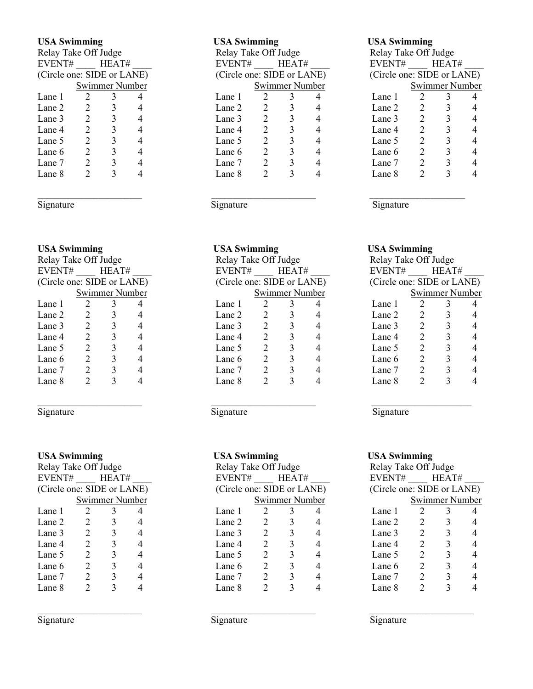| Relay Take Off Judge       |                             |   |   | Relay Take Off Judge       |                 |   |  | Relay Take Off Judge |                             |       |  |  |
|----------------------------|-----------------------------|---|---|----------------------------|-----------------|---|--|----------------------|-----------------------------|-------|--|--|
|                            | EVENT#<br>HEAT#             |   |   |                            | HEAT#<br>EVENT# |   |  |                      |                             | HEAT# |  |  |
| (Circle one: SIDE or LANE) |                             |   |   | (Circle one: SIDE or LANE) |                 |   |  |                      | (Circle one: SIDE or LANE)  |       |  |  |
| Swimmer Number             |                             |   |   | Swimmer Number             |                 |   |  |                      | Swimmer Number              |       |  |  |
| Lane 1                     | 2                           | 3 |   | Lane 1                     | 2               |   |  | Lane 1               |                             |       |  |  |
| Lane 2                     | 2                           |   | 4 | Lane 2                     | 2               |   |  | Lane 2               | 2                           |       |  |  |
| Lane 3                     | 2                           |   |   | Lane 3                     | 2               |   |  | Lane 3               | 2                           |       |  |  |
| Lane 4                     | $\mathfrak{D}$              |   |   | Lane 4                     | 2               | 3 |  | Lane 4               | $\mathcal{D}_{\mathcal{L}}$ |       |  |  |
| Lane 5                     | $\mathfrak{D}$              |   | 4 | Lane 5                     | 2               |   |  | Lane 5               | 2                           |       |  |  |
| Lane 6                     | $\mathfrak{D}$              |   |   | Lane 6                     | 2               |   |  | Lane 6               | 2                           |       |  |  |
| Lane 7                     | $\mathcal{D}_{\mathcal{L}}$ |   |   | Lane 7                     | 2               |   |  | Lane 7               | 2                           |       |  |  |
| Lane 8                     |                             |   |   | Lane 8                     | ∍               |   |  | Lane 8               | າ                           |       |  |  |

| Relay Take Off Judge       |                |                |  | Relay Take Off Judge       |                 |                |   | Relay Take Off Judge       |                             |                |                |  |
|----------------------------|----------------|----------------|--|----------------------------|-----------------|----------------|---|----------------------------|-----------------------------|----------------|----------------|--|
| EVENT#                     |                | HEAT#          |  |                            | HEAT#<br>EVENT# |                |   | EVENT#                     |                             | HEAT#          |                |  |
| (Circle one: SIDE or LANE) |                |                |  | (Circle one: SIDE or LANE) |                 |                |   | (Circle one: SIDE or LANE) |                             |                |                |  |
|                            |                | Swimmer Number |  |                            |                 | Swimmer Number |   |                            |                             | Swimmer Number |                |  |
| Lane 1                     |                |                |  | Lane 1                     |                 |                |   | Lane 1                     |                             |                | 4              |  |
| Lane 2                     | 2              |                |  | Lane 2                     | 2               |                | 4 | Lane 2                     | 2                           |                | 4              |  |
| Lane 3                     | 2              |                |  | Lane 3                     | 2               |                | 4 | Lane 3                     | 2                           |                | $\overline{4}$ |  |
| Lane 4                     | 2              |                |  | Lane 4                     | 2               |                | 4 | Lane 4                     | 2                           |                | 4              |  |
| Lane 5                     | 2              |                |  | Lane 5                     | 2               |                | 4 | Lane 5                     | 2                           |                | $\overline{4}$ |  |
| Lane 6                     | $\mathfrak{D}$ | 3              |  | Lane 6                     | 2               |                |   | Lane 6                     | $\mathcal{D}_{\mathcal{A}}$ |                | $\overline{4}$ |  |
| Lane 7                     | $\mathfrak{D}$ | 3              |  | Lane 7                     | $\mathfrak{D}$  |                | 4 | Lane 7                     | $\mathcal{D}_{\mathcal{A}}$ |                | 4              |  |
| Lane 8                     | 2              |                |  | Lane 8                     | 2               |                |   | Lane 8                     |                             |                | $\overline{4}$ |  |
|                            |                |                |  |                            |                 |                |   |                            |                             |                |                |  |

### Signature Signature Signature Signature Signature Signature

### USA Swimming USA Swimming USA Swimming

| Relay Take Off Judge       |                             |                |   | Relay Take Off Judge       |                |   |   |        | Relay Take Off Judge       |                |  |  |  |
|----------------------------|-----------------------------|----------------|---|----------------------------|----------------|---|---|--------|----------------------------|----------------|--|--|--|
| EVENT#<br>HEAT#            |                             |                |   | EVENT#<br>HEAT#            |                |   |   |        | HEAT#                      |                |  |  |  |
| (Circle one: SIDE or LANE) |                             |                |   | (Circle one: SIDE or LANE) |                |   |   |        | (Circle one: SIDE or LANE) |                |  |  |  |
|                            |                             | Swimmer Number |   |                            | Swimmer Number |   |   |        |                            | Swimmer Number |  |  |  |
| Lane 1                     |                             |                |   | Lane 1                     |                |   |   | Lane 1 |                            |                |  |  |  |
| Lane 2                     | 2                           |                | 4 | Lane 2                     | 2              |   | 4 | Lane 2 | 2                          |                |  |  |  |
| Lane 3                     | 2                           |                | 4 | Lane 3                     | 2              | 3 | 4 | Lane 3 | 2                          |                |  |  |  |
| Lane 4                     | 2                           |                | 4 | Lane 4                     | 2              |   | 4 | Lane 4 | 2                          |                |  |  |  |
| Lane 5                     | 2                           |                |   | Lane 5                     | 2              |   | 4 | Lane 5 | 2                          |                |  |  |  |
| Lane 6                     | $\mathcal{D}_{\mathcal{L}}$ |                |   | Lane 6                     | 2              |   | 4 | Lane 6 | 2                          |                |  |  |  |
| Lane 7                     | $\mathfrak{D}$              |                |   | Lane 7                     | 2              |   |   | Lane 7 | 2                          |                |  |  |  |
| Lane 8                     |                             |                |   | Lane 8                     |                |   |   | Lane 8 |                            |                |  |  |  |

| Relay Take Off Judge       |   |   |  |  |  |  |  |  |
|----------------------------|---|---|--|--|--|--|--|--|
| EVENT#<br>HEAT#            |   |   |  |  |  |  |  |  |
| (Circle one: SIDE or LANE) |   |   |  |  |  |  |  |  |
| Swimmer Number             |   |   |  |  |  |  |  |  |
| 2                          | 3 |   |  |  |  |  |  |  |
| 2                          | 3 | 4 |  |  |  |  |  |  |
| 2                          | 3 | 4 |  |  |  |  |  |  |
| 2                          | 3 | 4 |  |  |  |  |  |  |
| 2                          | 3 | 4 |  |  |  |  |  |  |
| 2                          | 3 | 4 |  |  |  |  |  |  |
| 2                          | 3 | 4 |  |  |  |  |  |  |
| 2                          | 3 |   |  |  |  |  |  |  |
|                            |   |   |  |  |  |  |  |  |

Signature Signature Signature Signature Signature Signature Signature Signature Signature Signature Signature Signature Signature Signature Signature Signature Signature Signature Signature Signature Signature Signature Si

 $\mathcal{L}_\mathcal{L} = \mathcal{L}_\mathcal{L} = \mathcal{L}_\mathcal{L} = \mathcal{L}_\mathcal{L} = \mathcal{L}_\mathcal{L} = \mathcal{L}_\mathcal{L} = \mathcal{L}_\mathcal{L} = \mathcal{L}_\mathcal{L} = \mathcal{L}_\mathcal{L} = \mathcal{L}_\mathcal{L} = \mathcal{L}_\mathcal{L} = \mathcal{L}_\mathcal{L} = \mathcal{L}_\mathcal{L} = \mathcal{L}_\mathcal{L} = \mathcal{L}_\mathcal{L} = \mathcal{L}_\mathcal{L} = \mathcal{L}_\mathcal{L}$ 

| <b>USA Swimming</b>        |                |       |   |                            | <b>USA Swimming</b>  |   |                        |      |  |
|----------------------------|----------------|-------|---|----------------------------|----------------------|---|------------------------|------|--|
| Relay Take Off Judge       |                |       |   |                            | Relay Take Off Judge |   |                        |      |  |
| EVENT#                     |                | HEAT# |   | EVENT#                     | HEAT#                |   | EVENT#<br>$\mathbf{I}$ |      |  |
| (Circle one: SIDE or LANE) |                |       |   | (Circle one: SIDE or LANE) |                      |   | (Circle one: SIDI      |      |  |
| Swimmer Number             |                |       |   |                            | Swimmer Number       |   |                        | Swim |  |
| Lane 1                     |                | 3     |   | Lane 1                     | 3                    |   | Lane 1                 |      |  |
| Lane 2                     | 2              | 3     |   | Lane 2                     | 2<br>3               |   | Lane 2                 | 2    |  |
| Lane 3                     | 2              | 3     |   | Lane 3                     | 2<br>3               |   | Lane 3                 | 2    |  |
| Lane 4                     | 2              | 3     | 4 | Lane 4                     | 2<br>3               | 4 | Lane 4                 | 2    |  |
| Lane 5                     | 2              | 3     | 4 | Lane 5                     | 2                    |   | Lane 5                 | 2    |  |
| Lane 6                     | 2              | 3     |   | Lane 6                     | 3<br>2               |   | Lane 6                 | 2    |  |
| Lane 7                     | $\mathfrak{D}$ | 3     | 4 | Lane 7                     | 2<br>3               | 4 | Lane 7                 | 2    |  |
| Lane 8                     |                |       |   | Lane 8                     |                      |   | Lane 8                 | 2    |  |

| Relay Take Off Judge       |                |   |   |  |  |  |  |  |
|----------------------------|----------------|---|---|--|--|--|--|--|
| EVENT#                     | HEAT#          |   |   |  |  |  |  |  |
| (Circle one: SIDE or LANE) |                |   |   |  |  |  |  |  |
| Swimmer Number             |                |   |   |  |  |  |  |  |
| Lane 1                     | 2              | 3 |   |  |  |  |  |  |
| Lane 2                     | 2              | 3 | 4 |  |  |  |  |  |
| Lane 3                     | $\overline{2}$ | 3 | 4 |  |  |  |  |  |
| Lane 4                     | 2              | 3 | 4 |  |  |  |  |  |
| Lane 5                     | 2              | 3 | 4 |  |  |  |  |  |
| Lane 6                     | 2              | 3 | 4 |  |  |  |  |  |
| Lane 7                     | 2              | 3 | 4 |  |  |  |  |  |
| Lane 8                     | 2              | 3 |   |  |  |  |  |  |

Signature Signature Signature Signature Signature Signature Signature Signature Signature Signature Signature Signature Signature Signature Signature Signature Signature Signature Signature Signature Signature Signature Si

### USA Swimming USA Swimming USA Swimming

| Relay Take Off Judge       |   |       |   |  |  |  |  |  |  |
|----------------------------|---|-------|---|--|--|--|--|--|--|
| EVENT#                     |   | HEAT# |   |  |  |  |  |  |  |
| (Circle one: SIDE or LANE) |   |       |   |  |  |  |  |  |  |
| <b>Swimmer Number</b>      |   |       |   |  |  |  |  |  |  |
| Lane 1                     | 2 | 3     |   |  |  |  |  |  |  |
| Lane 2                     | 2 | 3     | 4 |  |  |  |  |  |  |
| Lane 3                     | 2 | 3     | 4 |  |  |  |  |  |  |
| Lane 4                     | 2 | 3     | 4 |  |  |  |  |  |  |
| Lane 5                     | 2 | 3     | 4 |  |  |  |  |  |  |
| Lane 6                     | 2 | 3     | 4 |  |  |  |  |  |  |
| Lane 7                     | 2 | 3     | 4 |  |  |  |  |  |  |
| Lane 8                     | 2 |       |   |  |  |  |  |  |  |
|                            |   |       |   |  |  |  |  |  |  |

# Relay Take Off Judge  $EVENT\#$  \_\_\_\_\_\_ HEAT# (Circle one:  $\overline{\text{SIDE}}$  or  $\overline{\text{LANE}}$ ) Swimmer Number

| Relay Take Off Judge       |        |       |  |  |  |  |  |  |  |
|----------------------------|--------|-------|--|--|--|--|--|--|--|
|                            |        |       |  |  |  |  |  |  |  |
| (Circle one: SIDE or LANE) |        |       |  |  |  |  |  |  |  |
| <b>Swimmer Number</b>      |        |       |  |  |  |  |  |  |  |
| 2                          | 3      |       |  |  |  |  |  |  |  |
| 2                          | 3      | 4     |  |  |  |  |  |  |  |
| 2                          | 3      | 4     |  |  |  |  |  |  |  |
| 2                          | 3      | 4     |  |  |  |  |  |  |  |
| 2                          | 3      | 4     |  |  |  |  |  |  |  |
| 2                          | 3      | 4     |  |  |  |  |  |  |  |
| 2                          | 3      | 4     |  |  |  |  |  |  |  |
| 2                          |        |       |  |  |  |  |  |  |  |
|                            | EVENT# | HEAT# |  |  |  |  |  |  |  |